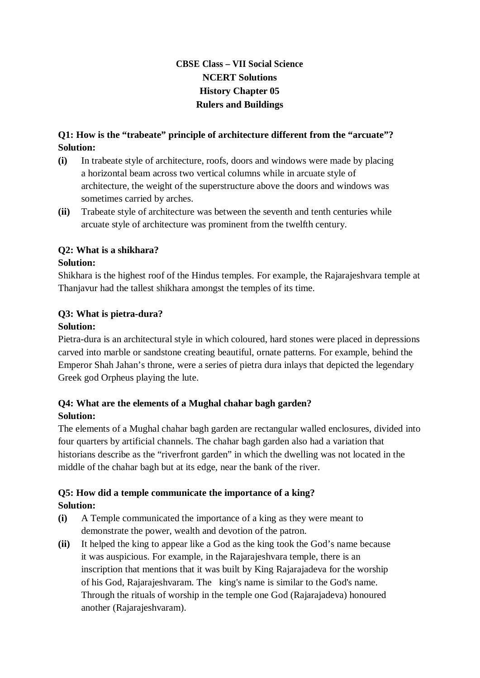# **CBSE Class – VII Social Science NCERT Solutions History Chapter 05 Rulers and Buildings**

#### **Q1: How is the "trabeate" principle of architecture different from the "arcuate"? Solution:**

- **(i)** In trabeate style of architecture, roofs, doors and windows were made by placing a horizontal beam across two vertical columns while in arcuate style of architecture, the weight of the superstructure above the doors and windows was sometimes carried by arches.
- **(ii)** Trabeate style of architecture was between the seventh and tenth centuries while arcuate style of architecture was prominent from the twelfth century.

#### **Q2: What is a shikhara? Solution:**

Shikhara is the highest roof of the Hindus temples. For example, the Rajarajeshvara temple at Thanjavur had the tallest shikhara amongst the temples of its time.

# **Q3: What is pietra-dura?**

#### **Solution:**

Pietra-dura is an architectural style in which coloured, hard stones were placed in depressions carved into marble or sandstone creating beautiful, ornate patterns. For example, behind the Emperor Shah Jahan's throne, were a series of pietra dura inlays that depicted the legendary Greek god Orpheus playing the lute.

# **Q4: What are the elements of a Mughal chahar bagh garden? Solution:**

The elements of a Mughal chahar bagh garden are rectangular walled enclosures, divided into four quarters by artificial channels. The chahar bagh garden also had a variation that historians describe as the "riverfront garden" in which the dwelling was not located in the middle of the chahar bagh but at its edge, near the bank of the river.

# **Q5: How did a temple communicate the importance of a king? Solution:**

- **(i)** A Temple communicated the importance of a king as they were meant to demonstrate the power, wealth and devotion of the patron.
- **(ii)** It helped the king to appear like a God as the king took the God's name because it was auspicious. For example, in the Rajarajeshvara temple, there is an inscription that mentions that it was built by King Rajarajadeva for the worship of his God, Rajarajeshvaram. The king's name is similar to the God's name. Through the rituals of worship in the temple one God (Rajarajadeva) honoured another (Rajarajeshvaram).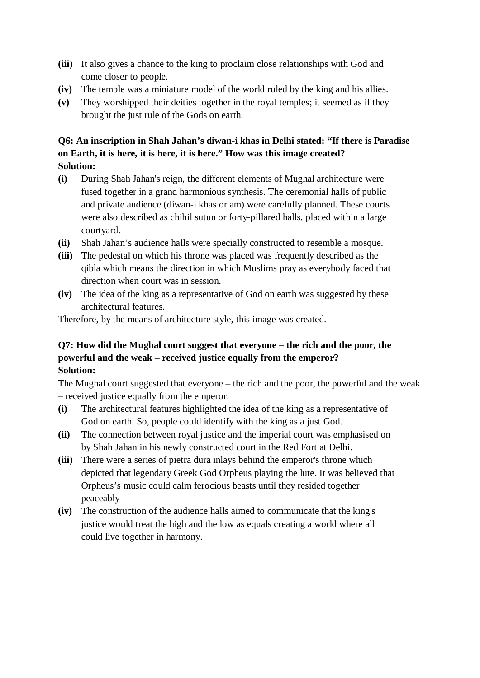- **(iii)** It also gives a chance to the king to proclaim close relationships with God and come closer to people.
- **(iv)** The temple was a miniature model of the world ruled by the king and his allies.
- **(v)** They worshipped their deities together in the royal temples; it seemed as if they brought the just rule of the Gods on earth.

#### **Q6: An inscription in Shah Jahan's diwan-i khas in Delhi stated: "If there is Paradise on Earth, it is here, it is here, it is here." How was this image created? Solution:**

- **(i)** During Shah Jahan's reign, the different elements of Mughal architecture were fused together in a grand harmonious synthesis. The ceremonial halls of public and private audience (diwan-i khas or am) were carefully planned. These courts were also described as chihil sutun or forty-pillared halls, placed within a large courtyard.
- **(ii)** Shah Jahan's audience halls were specially constructed to resemble a mosque.
- **(iii)** The pedestal on which his throne was placed was frequently described as the qibla which means the direction in which Muslims pray as everybody faced that direction when court was in session.
- **(iv)** The idea of the king as a representative of God on earth was suggested by these architectural features.

Therefore, by the means of architecture style, this image was created.

# **Q7: How did the Mughal court suggest that everyone – the rich and the poor, the powerful and the weak – received justice equally from the emperor? Solution:**

The Mughal court suggested that everyone – the rich and the poor, the powerful and the weak – received justice equally from the emperor:

- **(i)** The architectural features highlighted the idea of the king as a representative of God on earth. So, people could identify with the king as a just God.
- **(ii)** The connection between royal justice and the imperial court was emphasised on by Shah Jahan in his newly constructed court in the Red Fort at Delhi.
- **(iii)** There were a series of pietra dura inlays behind the emperor's throne which depicted that legendary Greek God Orpheus playing the lute. It was believed that Orpheus's music could calm ferocious beasts until they resided together peaceably
- **(iv)** The construction of the audience halls aimed to communicate that the king's justice would treat the high and the low as equals creating a world where all could live together in harmony.